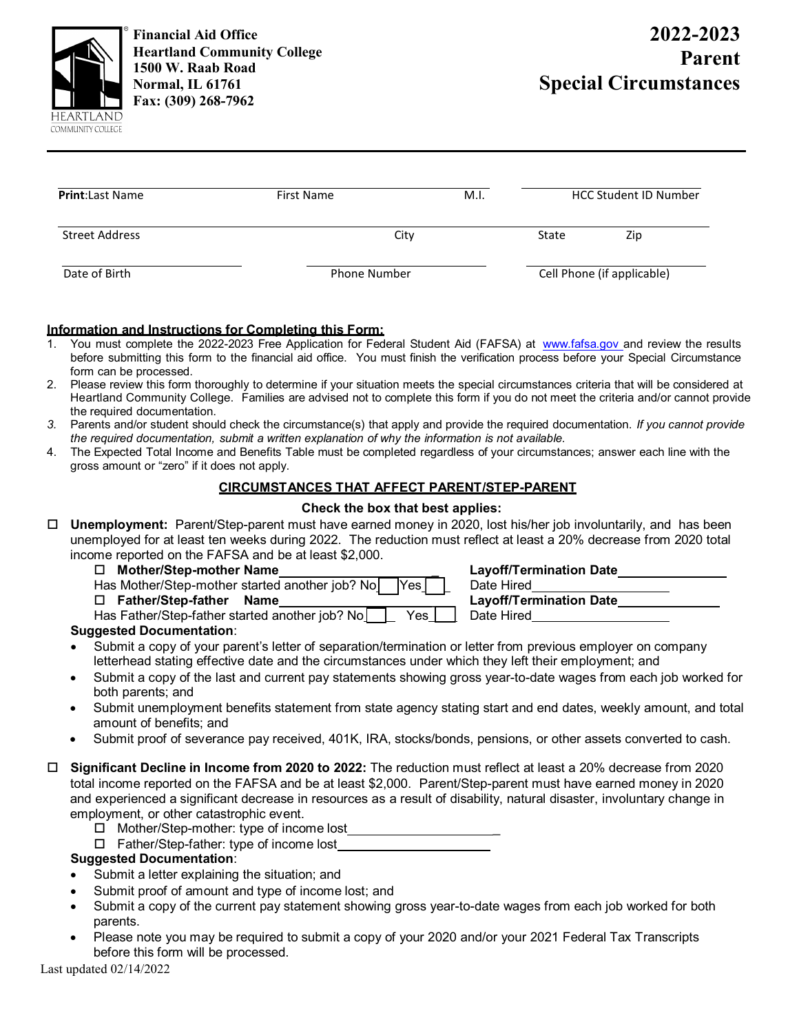

**Financial Aid Office Heartland Community College 1500 W. Raab Road Normal, IL 61761 Fax: (309) 268-7962** 

| <b>Print:</b> Last Name | <b>First Name</b>   | M.I. | <b>HCC Student ID Number</b> |     |  |
|-------------------------|---------------------|------|------------------------------|-----|--|
| Street Address          | City                |      | State                        | Zip |  |
| Date of Birth           | <b>Phone Number</b> |      | Cell Phone (if applicable)   |     |  |

#### **Information and Instructions for Completing this Form:**

- You must complete the 2022-2023 Free Application for Federal Student Aid (FAFSA) at [www.fafsa.gov a](http://www.fafsa.gov/)nd review the results before submitting this form to the financial aid office. You must finish the verification process before your Special Circumstance form can be processed.
- 2. Please review this form thoroughly to determine if your situation meets the special circumstances criteria that will be considered at Heartland Community College. Families are advised not to complete this form if you do not meet the criteria and/or cannot provide the required documentation.
- *3.* Parents and/or student should check the circumstance(s) that apply and provide the required documentation. *If you cannot provide the required documentation, submit a written explanation of why the information is not available.*
- 4. The Expected Total Income and Benefits Table must be completed regardless of your circumstances; answer each line with the gross amount or "zero" if it does not apply.

#### **CIRCUMSTANCES THAT AFFECT PARENT/STEP-PARENT**

#### **Check the box that best applies:**

- **Unemployment:** Parent/Step-parent must have earned money in 2020, lost his/her job involuntarily, and has been unemployed for at least ten weeks during 2022. The reduction must reflect at least a 20% decrease from 2020 total income reported on the FAFSA and be at least \$2,000.
	-

| Has Mother/Step-mother started another job? No<br>□ Father/Step-father Name | Yes              | Date Hired<br>Layoff/Terr |
|-----------------------------------------------------------------------------|------------------|---------------------------|
| Has Father/Step-father started another job? No                              | Yes <sub>1</sub> | Date Hired                |

 **Mother/Step-mother Name \_ Layoff/Termination Date Fathermination Date** 

### **Suggested Documentation**:

- Submit a copy of your parent's letter of separation/termination or letter from previous employer on company letterhead stating effective date and the circumstances under which they left their employment; and
- Submit a copy of the last and current pay statements showing gross year-to-date wages from each job worked for both parents; and
- Submit unemployment benefits statement from state agency stating start and end dates, weekly amount, and total amount of benefits; and
- Submit proof of severance pay received, 401K, IRA, stocks/bonds, pensions, or other assets converted to cash.
- **Significant Decline in Income from 2020 to 2022:** The reduction must reflect at least a 20% decrease from 2020 total income reported on the FAFSA and be at least \$2,000. Parent/Step-parent must have earned money in 2020 and experienced a significant decrease in resources as a result of disability, natural disaster, involuntary change in employment, or other catastrophic event.
	- $\Box$  Mother/Step-mother: type of income lost
	- □ Father/Step-father: type of income lost

#### **Suggested Documentation**:

- Submit a letter explaining the situation; and
- Submit proof of amount and type of income lost; and
- Submit a copy of the current pay statement showing gross year-to-date wages from each job worked for both parents.
- Please note you may be required to submit a copy of your 2020 and/or your 2021 Federal Tax Transcripts before this form will be processed.

Last updated 02/14/2022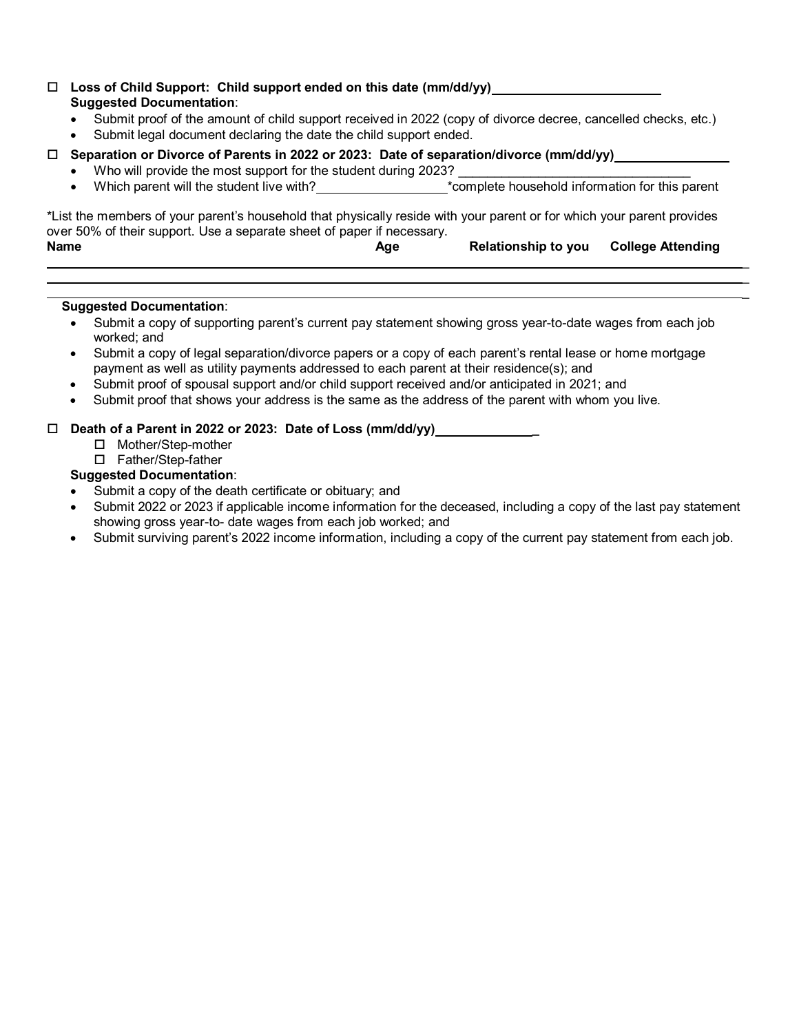#### **Loss of Child Support: Child support ended on this date (mm/dd/yy) Suggested Documentation**:

- Submit proof of the amount of child support received in 2022 (copy of divorce decree, cancelled checks, etc.)
- Submit legal document declaring the date the child support ended.

#### **Separation or Divorce of Parents in 2022 or 2023: Date of separation/divorce (mm/dd/yy)**

- Who will provide the most support for the student during 2023?
- Which parent will the student live with? \*complete household information for this parent

 $\mathcal{L}=\mathcal{L}=\mathcal{L}=\mathcal{L}=\mathcal{L}=\mathcal{L}=\mathcal{L}=\mathcal{L}=\mathcal{L}=\mathcal{L}=\mathcal{L}=\mathcal{L}=\mathcal{L}=\mathcal{L}=\mathcal{L}=\mathcal{L}=\mathcal{L}=\mathcal{L}=\mathcal{L}=\mathcal{L}=\mathcal{L}=\mathcal{L}=\mathcal{L}=\mathcal{L}=\mathcal{L}=\mathcal{L}=\mathcal{L}=\mathcal{L}=\mathcal{L}=\mathcal{L}=\mathcal{L}=\mathcal{L}=\mathcal{L}=\mathcal{L}=\mathcal{L}=\mathcal{L}=\mathcal{$  $\mathcal{L}=\mathcal{L}=\mathcal{L}=\mathcal{L}=\mathcal{L}=\mathcal{L}=\mathcal{L}=\mathcal{L}=\mathcal{L}=\mathcal{L}=\mathcal{L}=\mathcal{L}=\mathcal{L}=\mathcal{L}=\mathcal{L}=\mathcal{L}=\mathcal{L}=\mathcal{L}=\mathcal{L}=\mathcal{L}=\mathcal{L}=\mathcal{L}=\mathcal{L}=\mathcal{L}=\mathcal{L}=\mathcal{L}=\mathcal{L}=\mathcal{L}=\mathcal{L}=\mathcal{L}=\mathcal{L}=\mathcal{L}=\mathcal{L}=\mathcal{L}=\mathcal{L}=\mathcal{L}=\mathcal{$ 

\*List the members of your parent's household that physically reside with your parent or for which your parent provides over 50% of their support. Use a separate sheet of paper if necessary.<br>Name Age Age Relationship to you College Attending

#### \_ **Suggested Documentation**:

- Submit a copy of supporting parent's current pay statement showing gross year-to-date wages from each job worked; and
- Submit a copy of legal separation/divorce papers or a copy of each parent's rental lease or home mortgage payment as well as utility payments addressed to each parent at their residence(s); and
- Submit proof of spousal support and/or child support received and/or anticipated in 2021; and
- Submit proof that shows your address is the same as the address of the parent with whom you live.

#### **Death of a Parent in 2022 or 2023: Date of Loss (mm/dd/yy) \_**

- □ Mother/Step-mother
- □ Father/Step-father

#### **Suggested Documentation**:

- Submit a copy of the death certificate or obituary; and
- Submit 2022 or 2023 if applicable income information for the deceased, including a copy of the last pay statement showing gross year-to- date wages from each job worked; and
- Submit surviving parent's 2022 income information, including a copy of the current pay statement from each job.